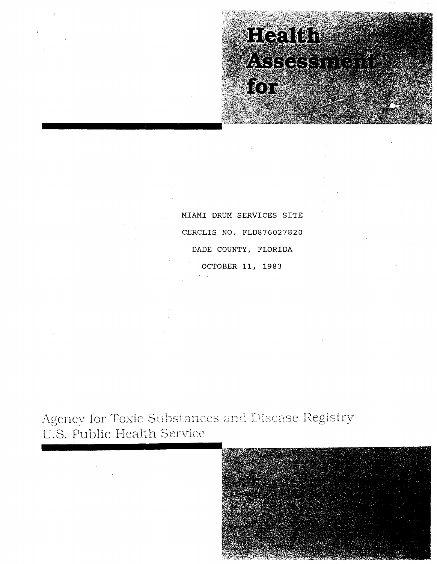# **Heath** ASSOS for

MIAMI DRUM SERVICES SITE CERCLIS NO. FLD876027820 DADE COUNTY, FLORIDA OCTOBER **11,** 1983

Agency for Toxic Substances and Disease Registry U.S. Public Health Service



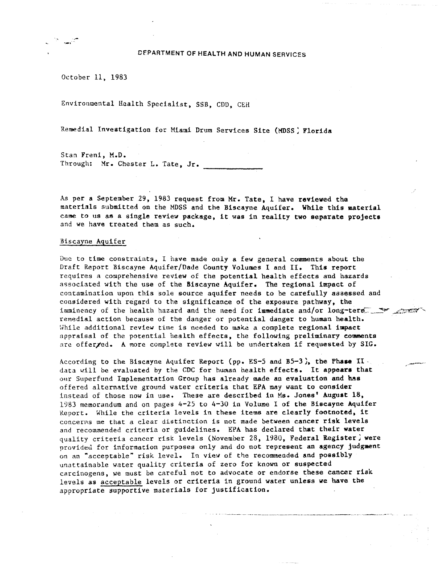October 11, 1983

 $-$ 

Environmental Health Specialist, SSB, CDD, CEH

Remedial Investigation for Miami Drum Services Site (MDSS) Florida

Stan Freni, M.D. Through: Mr. Chester L. Tate, Jr.

As per a September 29, 1983 request from Mr. Tate, I have reviewed the materials submitted on the MDSS and the Biscayne Aquifer. While this material came to us as a single review package, it was in reality two separate projects and we have treated them as such.

# Biscayne Aquifer

Due to time constraints, I have made ouly a few general comments about the Draft Report Biscayne Aquifer/Dade County Volumes I and II. This report requires a comprehensive review of the potential health effects and hazards associated with the use of the Biscayne Aquifer. The regional impact of contamination upon this sole source aquifer needs to be carefully assessed and considered with regard to the significance of the exposure pathway, the imminency of the health hazard and the need for immediate and/or long-term. remedial action because of the danger or potential danger to human health. While additional review time is needed to make a complete regional impact appraisal of the potential health effects, the following preliminary comments are offer/ed. A more complete review will be undertaken if requested by SIG.

According to the Biscayne Aquifer Report (pp.  $ES-5$  and  $B5-3$ ), the Phase II. data will be evaluated by the CDC for human health effects. It appears that our Superfund Implementation Group has already made an evaluation and has offered alternative ground water criteria that EPA may want to consider instead of those now in use. These are described in Ms. Jones' August 18, 1983 memorandum and on pages 4-25 to 4-30 in Volume I of the Biscayne Aquifer Keport. While the criteria levels in these items are clearly footnoted, it concerns me that a clear distinction is not made between cancer risk levels and recommended criteria or guidelines. EPA has declared that their water quality criteria cancer risk levels (November 28, 1980, Federal Register) were provided for information purposes only and do not represent an agency judgment on an "acceptable" risk level. In view of the recommended and possibly unattainable water quality criteria of zero for known or suspected carcinogens, we must be careful not to advocate or endorse these cancer risk levels as acceptable levels or criteria in ground water unless we have the appropriate supportive materials for justification.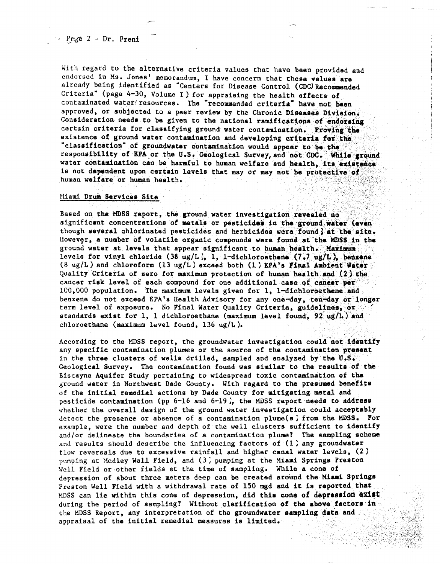With regard to the alternative criteria values that have been provided and endorsed in Ms. Jones' memorandum, I have concern that these values are already being identified as "Centers for Disease Control (CDC) Recommended Criteria" (page 4-30, Volume I) for appraising the health effects of contaminated water/resources. The "recommended criteria" have not been approved, or subjected to a paer review by the Chronic Diseases Division. Consideration needs to be given to the national ramifications of endorsing certain criteria for classifying ground water contamination. Proving the existence of ground water contamination and developing criteria for the "classification" of groundwater contamination would appear to be the responsibility of EPA or the U.S. Geological Survey, and not CDC. While ground water contamination can be harmful to human welfare and health, its existence is not dependent upon certain levels that may or may not be protective of human welfare or human health.

## Miami Drum Sarvices Site

Based on the MDSS report, the ground water investigation revealed no significant concentrations of metals or pesticides in the ground water (even though several chlorinated pesticides and herbicides were found) at the site. However, a number of volatile organic compounds were found at the MDSS in the ground water at levels that appear significant to human health. Maximum levels for vinyl chloride (38 ug/L), 1, 1-dichloroethene (7.7 ug/L), benzene  $(8 \text{ ug/L})$  and chloroform (13 ug/L) exceed both (1) EPA's Final Ambient Water Quality Criteria of zero for maximum protection of human health and (2) the cancer risk level of each compound for one additional case of cancer per 100,000 population. The maximum levels given for 1, 1-dichloroethene and benzene do not exceed EPA's Health Advisory for any one-day, ten-day or longer term level of exposure. No Final Water Quality Criteria, guidelines, or standards exist for 1, 1 dichloroethane (maximum level found, 92 ug/L) and chloroethane (maximum level found, 136  $\text{ug/L}$ ).

According to the MDSS report, the groundwater investigation could not identify any specific contamination plumes or the source of the contamination present in the three clusters of wells drilled, sampled and analyzed by the U.S. Geological Survey. The contamination found was similar to the results of the Biscayne Aquifer Study pertaining to widespread toxic contamination of the ground water in Northwest Dade County. With regard to the presumed benefits of the initial remedial actions by Dade County for mitigating metal and pesticide contamination (pp 6-16 and 6-19), the MDSS report needs to address whether the overall design of the ground water investigation could acceptably detect the presence or absence of a contamination plume(s) from the MDSS. For example, were the number and depth of the well clusters sufficient to identify and/or delineate the boundaries of a contamination plume? The sampling scheme and results should describe the influencing factors of (1) any groundwater flow reversals due to excessive rainfall and higher canal water levels,  $(2)$ pumping at Medley Well Field, and (3) pumping at the Miami Springs Preston Well Field or other fields at the time of sampling. While a cone of depression of about three meters deep can be created around the Miami Springs Preston Well Field with a withdrawal rate of 150 mgd and it is reported that MDSS can lie within this cone of depression, did this cone of depression exist during the period of sampling? Without clarification of the above factors in the MDSS Report, any interpretation of the groundwater sampling data and appraisal of the initial remedial measures is limited.